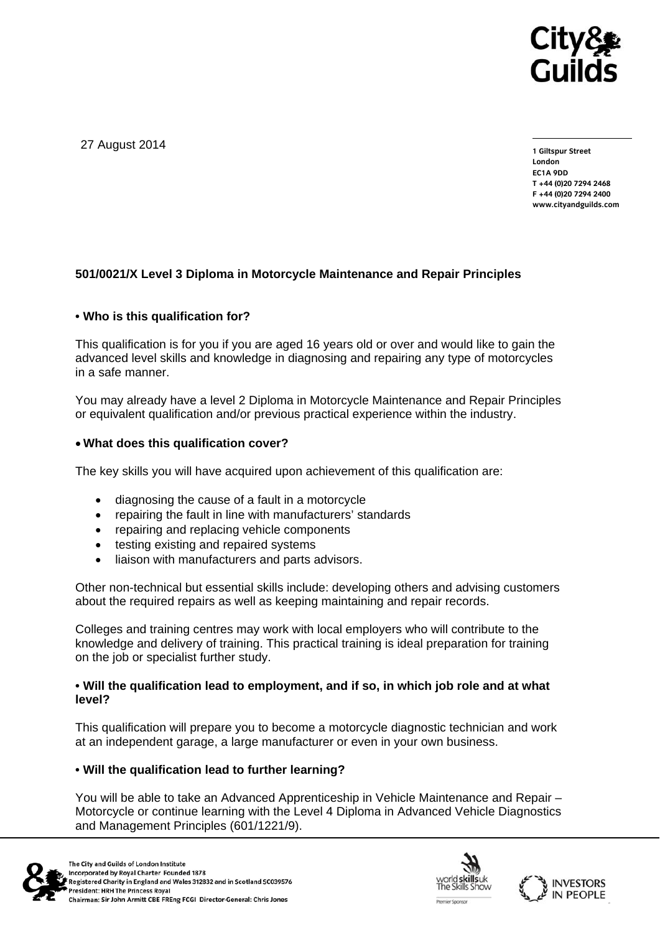

27 August 2014

**1 Giltspur Street London EC1A 9DD T +44 (0)20 7294 2468 F +44 (0)20 7294 2400 www.cityandguilds.com** 

## **501/0021/X Level 3 Diploma in Motorcycle Maintenance and Repair Principles**

### **• Who is this qualification for?**

This qualification is for you if you are aged 16 years old or over and would like to gain the advanced level skills and knowledge in diagnosing and repairing any type of motorcycles in a safe manner.

You may already have a level 2 Diploma in Motorcycle Maintenance and Repair Principles or equivalent qualification and/or previous practical experience within the industry.

### **What does this qualification cover?**

The key skills you will have acquired upon achievement of this qualification are:

- diagnosing the cause of a fault in a motorcycle
- repairing the fault in line with manufacturers' standards
- repairing and replacing vehicle components
- testing existing and repaired systems
- liaison with manufacturers and parts advisors.

Other non-technical but essential skills include: developing others and advising customers about the required repairs as well as keeping maintaining and repair records.

Colleges and training centres may work with local employers who will contribute to the knowledge and delivery of training. This practical training is ideal preparation for training on the job or specialist further study.

### **• Will the qualification lead to employment, and if so, in which job role and at what level?**

This qualification will prepare you to become a motorcycle diagnostic technician and work at an independent garage, a large manufacturer or even in your own business.

### **• Will the qualification lead to further learning?**

You will be able to take an Advanced Apprenticeship in Vehicle Maintenance and Repair – Motorcycle or continue learning with the Level 4 Diploma in Advanced Vehicle Diagnostics and Management Principles (601/1221/9).